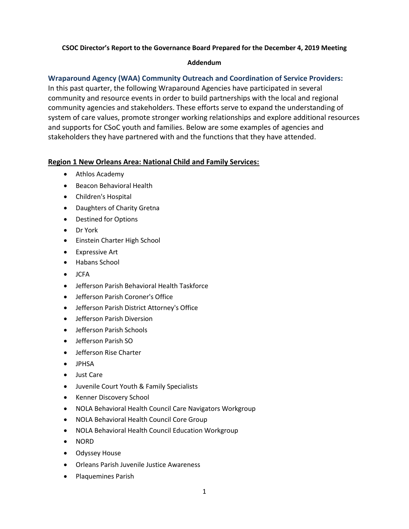#### **CSOC Director's Report to the Governance Board Prepared for the December 4, 2019 Meeting**

#### **Addendum**

# **Wraparound Agency (WAA) Community Outreach and Coordination of Service Providers:**

In this past quarter, the following Wraparound Agencies have participated in several community and resource events in order to build partnerships with the local and regional community agencies and stakeholders. These efforts serve to expand the understanding of system of care values, promote stronger working relationships and explore additional resources and supports for CSoC youth and families. Below are some examples of agencies and stakeholders they have partnered with and the functions that they have attended.

## **Region 1 New Orleans Area: National Child and Family Services:**

- Athlos Academy
- **Beacon Behavioral Health**
- Children's Hospital
- Daughters of Charity Gretna
- Destined for Options
- Dr York
- **•** Einstein Charter High School
- Expressive Art
- Habans School
- $ICFA$
- Jefferson Parish Behavioral Health Taskforce
- Jefferson Parish Coroner's Office
- Jefferson Parish District Attorney's Office
- Jefferson Parish Diversion
- Jefferson Parish Schools
- Jefferson Parish SO
- **•** Jefferson Rise Charter
- $\bullet$  IPHSA
- Just Care
- Juvenile Court Youth & Family Specialists
- Kenner Discovery School
- NOLA Behavioral Health Council Care Navigators Workgroup
- NOLA Behavioral Health Council Core Group
- NOLA Behavioral Health Council Education Workgroup
- NORD
- **•** Odyssey House
- **Orleans Parish Juvenile Justice Awareness**
- Plaquemines Parish